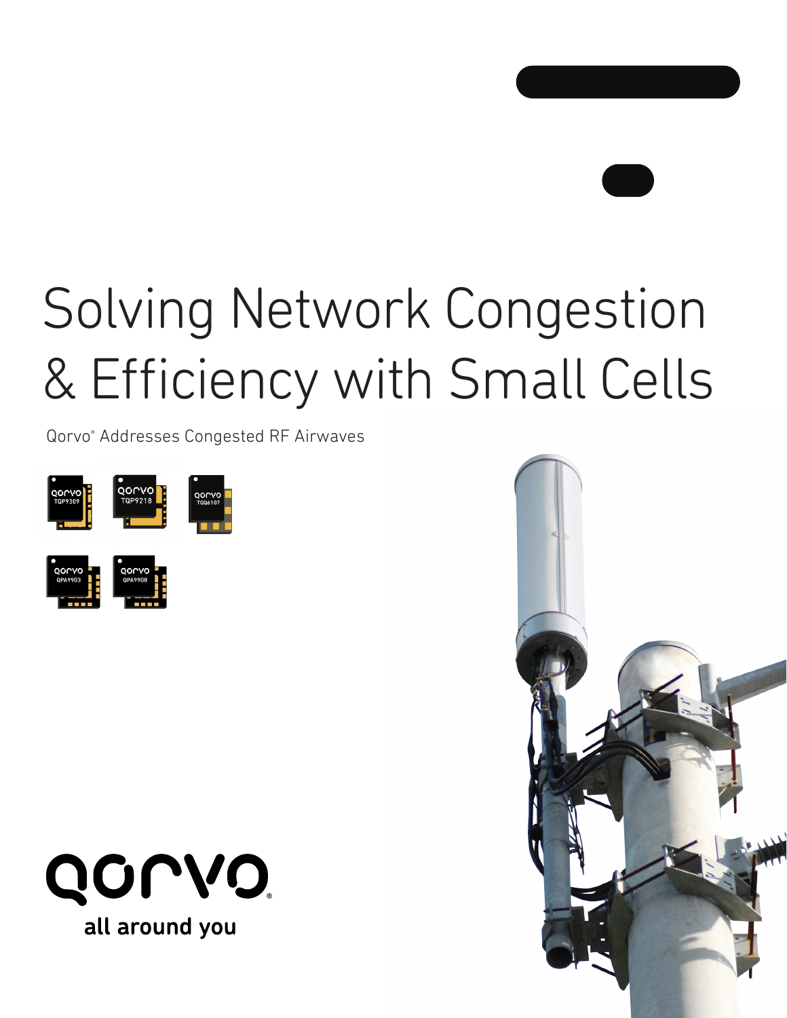

# Solving Network Congestion & Efficiency with Small Cells

Qorvo® Addresses Congested RF Airwaves







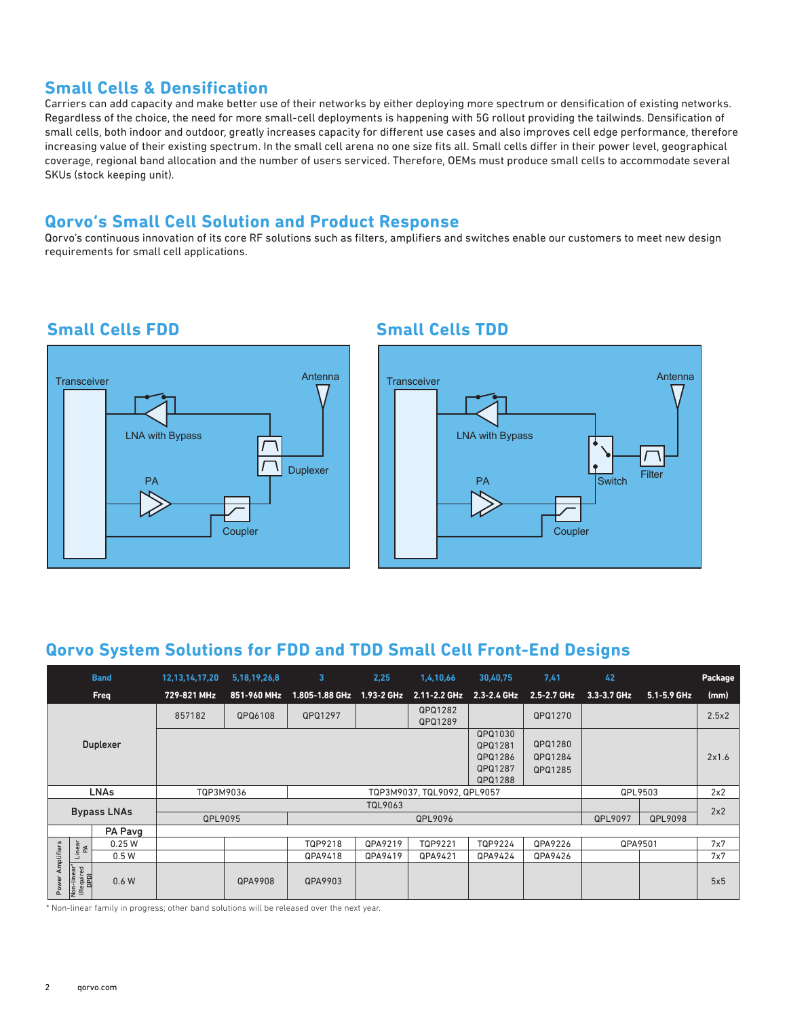### **Small Cells & Densification**

Carriers can add capacity and make better use of their networks by either deploying more spectrum or densification of existing networks. Regardless of the choice, the need for more small-cell deployments is happening with 5G rollout providing the tailwinds. Densification of small cells, both indoor and outdoor, greatly increases capacity for different use cases and also improves cell edge performance, therefore increasing value of their existing spectrum. In the small cell arena no one size fits all. Small cells differ in their power level, geographical coverage, regional band allocation and the number of users serviced. Therefore, OEMs must produce small cells to accommodate several SKUs (stock keeping unit).

#### **Qorvo's Small Cell Solution and Product Response**

Qorvo's continuous innovation of its core RF solutions such as filters, amplifiers and switches enable our customers to meet new design requirements for small cell applications.

# **Small Cells FDD Small Cells TDD**





# **Qorvo System Solutions for FDD and TDD Small Cell Front-End Designs**

| <b>Band</b>         |                                  |         | 12,13,14,17,20                | 5,18,19,26,8 | $\overline{\mathbf{3}}$     | 2,25    | 1,4,10,66          | 30,40,75           | 7,41        | 42          |             | Package |
|---------------------|----------------------------------|---------|-------------------------------|--------------|-----------------------------|---------|--------------------|--------------------|-------------|-------------|-------------|---------|
| Freq                |                                  |         | 729-821 MHz                   | 851-960 MHz  | 1.805-1.88 GHz 1.93-2 GHz   |         | 2.11-2.2 GHz       | 2.3-2.4 GHz        | 2.5-2.7 GHz | 3.3-3.7 GHz | 5.1-5.9 GHz | (mm)    |
| <b>Duplexer</b>     |                                  |         | 857182                        | QPQ6108      | QPQ1297                     |         | QPQ1282<br>QPQ1289 |                    | QPQ1270     |             |             | 2.5x2   |
|                     |                                  |         |                               |              |                             |         |                    | QPQ1030<br>QPQ1281 | QPQ1280     |             |             |         |
|                     |                                  |         | QPQ1286<br>QPQ1284<br>QPQ1287 |              |                             |         |                    |                    |             |             |             | 2x1.6   |
|                     |                                  |         |                               |              |                             |         |                    | QPQ1288            | QPQ1285     |             |             |         |
| <b>LNAs</b>         |                                  |         | TQP3M9036                     |              | TQP3M9037, TQL9092, QPL9057 |         |                    |                    | QPL9503     |             | 2x2         |         |
|                     |                                  |         | <b>TQL9063</b>                |              |                             |         |                    |                    |             |             |             | 2x2     |
| <b>Bypass LNAs</b>  |                                  |         | QPL9095                       |              | QPL9096                     |         |                    |                    |             | QPL9097     | QPL9098     |         |
|                     |                                  | PA Pavg |                               |              |                             |         |                    |                    |             |             |             |         |
|                     | Linear<br>PA                     | 0.25W   |                               |              | TQP9218                     | QPA9219 | TQP9221            | TQP9224            | QPA9226     | QPA9501     |             | 7x7     |
| implifiers<br>Power |                                  | 0.5W    |                               |              | QPA9418                     | QPA9419 | QPA9421            | QPA9424            | QPA9426     |             |             | 7x7     |
|                     | Non-linear*<br>(Required<br>DPD) | 0.6W    |                               | QPA9908      | QPA9903                     |         |                    |                    |             |             |             | 5x5     |

\* Non-linear family in progress; other band solutions will be released over the next year.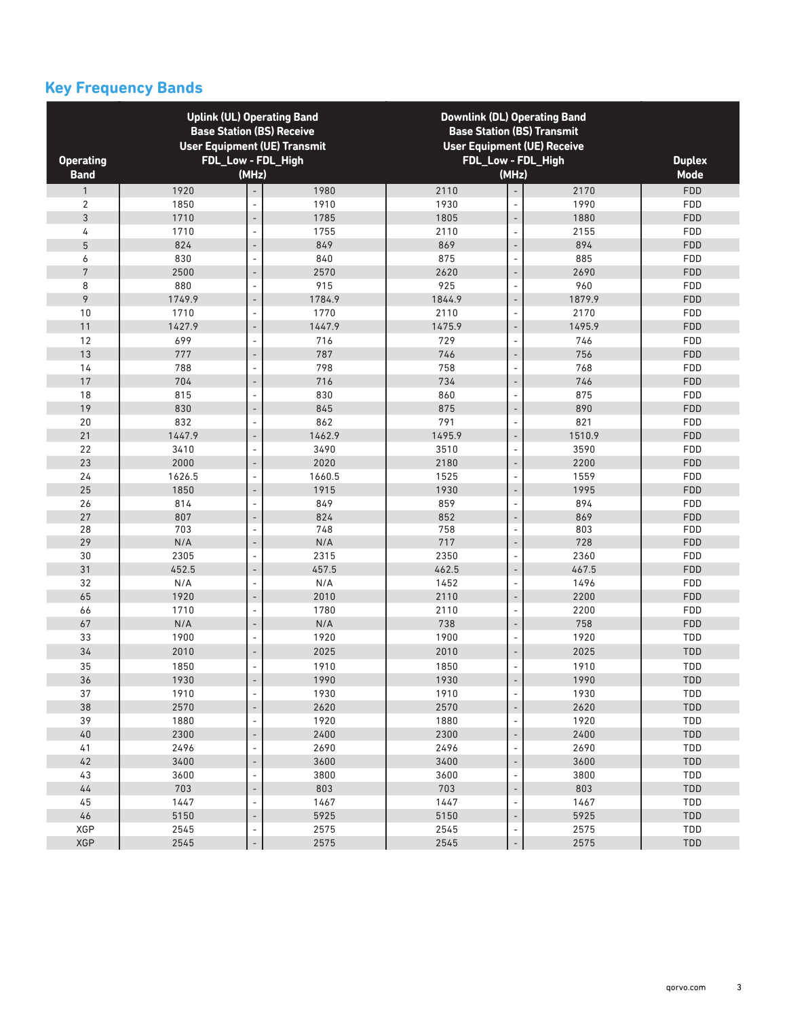# **Key Frequency Bands**

| <b>Operating</b> |        | <b>Uplink (UL) Operating Band</b><br><b>Base Station (BS) Receive</b><br><b>User Equipment (UE) Transmit</b><br>FDL_Low - FDL_High | <b>Downlink (DL) Operating Band</b><br><b>Base Station (BS) Transmit</b><br><b>User Equipment (UE) Receive</b><br>FDL_Low - FDL_High | <b>Duplex</b> |                          |        |             |
|------------------|--------|------------------------------------------------------------------------------------------------------------------------------------|--------------------------------------------------------------------------------------------------------------------------------------|---------------|--------------------------|--------|-------------|
| <b>Band</b>      |        | (MHz)                                                                                                                              |                                                                                                                                      |               | (MHz)                    |        | <b>Mode</b> |
| $\mathbf{1}$     | 1920   |                                                                                                                                    | 1980                                                                                                                                 | 2110          |                          | 2170   | FDD         |
| $\overline{2}$   | 1850   | $\overline{\phantom{a}}$                                                                                                           | 1910                                                                                                                                 | 1930          | $\overline{\phantom{a}}$ | 1990   | FDD         |
| $\overline{3}$   | 1710   | $\overline{\phantom{a}}$                                                                                                           | 1785                                                                                                                                 | 1805          | $\overline{a}$           | 1880   | FDD         |
| 4                | 1710   | $\overline{\phantom{a}}$                                                                                                           | 1755                                                                                                                                 | 2110          | $\overline{\phantom{a}}$ | 2155   | <b>FDD</b>  |
| 5                | 824    | $\qquad \qquad \blacksquare$                                                                                                       | 849                                                                                                                                  | 869           | $\overline{a}$           | 894    | FDD         |
| $\boldsymbol{6}$ | 830    | $\overline{\phantom{a}}$                                                                                                           | 840                                                                                                                                  | 875           | $\overline{\phantom{a}}$ | 885    | <b>FDD</b>  |
| $\overline{7}$   | 2500   | $\overline{\phantom{0}}$                                                                                                           | 2570                                                                                                                                 | 2620          | $\overline{\phantom{a}}$ | 2690   | FDD         |
| 8                | 880    | $\qquad \qquad \blacksquare$                                                                                                       | 915                                                                                                                                  | 925           | $\overline{\phantom{a}}$ | 960    | <b>FDD</b>  |
| $\,9$            | 1749.9 | $\overline{\phantom{0}}$                                                                                                           | 1784.9                                                                                                                               | 1844.9        | $\overline{a}$           | 1879.9 | FDD         |
| 10               | 1710   | $\qquad \qquad \blacksquare$                                                                                                       | 1770                                                                                                                                 | 2110          | $\overline{\phantom{a}}$ | 2170   | <b>FDD</b>  |
| 11               | 1427.9 | $\overline{\phantom{0}}$                                                                                                           | 1447.9                                                                                                                               | 1475.9        | $\overline{a}$           | 1495.9 | FDD         |
| 12               | 699    | $\frac{1}{2}$                                                                                                                      | 716                                                                                                                                  | 729           | $\overline{\phantom{a}}$ | 746    | FDD         |
| 13               | 777    | $\overline{\phantom{a}}$                                                                                                           | 787                                                                                                                                  | 746           | $\overline{a}$           | 756    | FDD         |
| 14               | 788    | $\qquad \qquad \blacksquare$                                                                                                       | 798                                                                                                                                  | 758           | $\overline{\phantom{a}}$ | 768    | <b>FDD</b>  |
| 17               | 704    | $\overline{\phantom{0}}$                                                                                                           | 716                                                                                                                                  | 734           | $\overline{\phantom{0}}$ | 746    | FDD         |
| 18               | 815    | $\frac{1}{2}$                                                                                                                      | 830                                                                                                                                  | 860           | L,                       | 875    | FDD         |
| 19               | 830    | $\qquad \qquad -$                                                                                                                  | 845                                                                                                                                  | 875           | $\overline{\phantom{m}}$ | 890    | FDD         |
| 20               | 832    | $\qquad \qquad \blacksquare$                                                                                                       | 862                                                                                                                                  | 791           | $\overline{\phantom{a}}$ | 821    | <b>FDD</b>  |
| 21               | 1447.9 | $\qquad \qquad \blacksquare$                                                                                                       | 1462.9                                                                                                                               | 1495.9        | $\overline{a}$           | 1510.9 | FDD         |
| 22               | 3410   | $\qquad \qquad \blacksquare$                                                                                                       | 3490                                                                                                                                 | 3510          | $\overline{\phantom{a}}$ | 3590   | FDD         |
| 23               | 2000   | $\overline{\phantom{a}}$                                                                                                           | 2020                                                                                                                                 | 2180          | $\overline{\phantom{a}}$ | 2200   | FDD         |
| 24               | 1626.5 | $\qquad \qquad \blacksquare$                                                                                                       | 1660.5                                                                                                                               | 1525          | $\overline{\phantom{a}}$ | 1559   | FDD         |
| 25               | 1850   | $\qquad \qquad \blacksquare$                                                                                                       | 1915                                                                                                                                 | 1930          | $\overline{\phantom{a}}$ | 1995   | FDD         |
| 26               | 814    | $\qquad \qquad \blacksquare$                                                                                                       | 849                                                                                                                                  | 859           | $\overline{\phantom{a}}$ | 894    | FDD         |
| 27               | 807    | $\overline{\phantom{a}}$                                                                                                           | 824                                                                                                                                  | 852           | $\overline{\phantom{a}}$ | 869    | FDD         |
| 28               | 703    | $\qquad \qquad \blacksquare$                                                                                                       | 748                                                                                                                                  | 758           | $\overline{\phantom{a}}$ | 803    | FDD         |
| 29               | N/A    | $\overline{\phantom{a}}$                                                                                                           | N/A                                                                                                                                  | 717           | $\overline{a}$           | 728    | FDD         |
| 30               | 2305   | $\qquad \qquad \blacksquare$                                                                                                       | 2315                                                                                                                                 | 2350          | $\overline{\phantom{a}}$ | 2360   | <b>FDD</b>  |
| 31               | 452.5  | $\overline{\phantom{0}}$                                                                                                           | 457.5                                                                                                                                | 462.5         | $\overline{a}$           | 467.5  | FDD         |
| 32               | N/A    | $\overline{\phantom{a}}$                                                                                                           | N/A                                                                                                                                  | 1452          | $\overline{\phantom{a}}$ | 1496   | <b>FDD</b>  |
| 65               | 1920   | $\overline{\phantom{0}}$                                                                                                           | 2010                                                                                                                                 | 2110          | $\overline{a}$           | 2200   | FDD         |
| 66               | 1710   | $\frac{1}{2}$                                                                                                                      | 1780                                                                                                                                 | 2110          | $\overline{\phantom{a}}$ | 2200   | <b>FDD</b>  |
| 67               | N/A    | $\overline{\phantom{0}}$                                                                                                           | N/A                                                                                                                                  | 738           | $\overline{a}$           | 758    | FDD         |
| 33               | 1900   | $\qquad \qquad \blacksquare$                                                                                                       | 1920                                                                                                                                 | 1900          | $\overline{\phantom{a}}$ | 1920   | TDD         |
| 34               | 2010   | $\overline{a}$                                                                                                                     | 2025                                                                                                                                 | 2010          |                          | 2025   | <b>TDD</b>  |
| 35               | 1850   |                                                                                                                                    | 1910                                                                                                                                 | 1850          |                          | 1910   | TDD         |
| 36               | 1930   |                                                                                                                                    | 1990                                                                                                                                 | 1930          |                          | 1990   | TDD         |
| 37               | 1910   | $\overline{\phantom{a}}$                                                                                                           | 1930                                                                                                                                 | 1910          | $\overline{\phantom{a}}$ | 1930   | <b>TDD</b>  |
| 38               | 2570   | $\overline{\phantom{m}}$                                                                                                           | 2620                                                                                                                                 | 2570          | $\overline{\phantom{a}}$ | 2620   | TDD         |
| 39               | 1880   |                                                                                                                                    | 1920                                                                                                                                 | 1880          |                          | 1920   | TDD         |
| $40\,$           | 2300   | $\overline{\phantom{m}}$                                                                                                           | 2400                                                                                                                                 | 2300          | $\overline{\phantom{a}}$ | 2400   | TDD         |
| 41               | 2496   | $\overline{\phantom{a}}$                                                                                                           | 2690                                                                                                                                 | 2496          | $\overline{\phantom{a}}$ | 2690   | TDD         |
| $42\,$           | 3400   | $\overline{\phantom{0}}$                                                                                                           | 3600                                                                                                                                 | 3400          | $\overline{a}$           | 3600   | TDD         |
| 43               | 3600   | $\overline{\phantom{a}}$                                                                                                           | 3800                                                                                                                                 | 3600          |                          | 3800   | <b>TDD</b>  |
| $44$             | 703    |                                                                                                                                    | 803                                                                                                                                  | 703           |                          | 803    | TDD         |
| 45               | 1447   | $\overline{\phantom{a}}$                                                                                                           | 1467                                                                                                                                 | 1447          | $\overline{\phantom{a}}$ | 1467   | <b>TDD</b>  |
| 46               | 5150   | $\overline{\phantom{m}}$                                                                                                           | 5925                                                                                                                                 | 5150          | $\overline{a}$           | 5925   | TDD         |
| XGP              | 2545   | $\overline{\phantom{a}}$                                                                                                           | 2575                                                                                                                                 | 2545          |                          | 2575   | <b>TDD</b>  |
| XGP              | 2545   |                                                                                                                                    | 2575                                                                                                                                 | 2545          |                          | 2575   | <b>TDD</b>  |